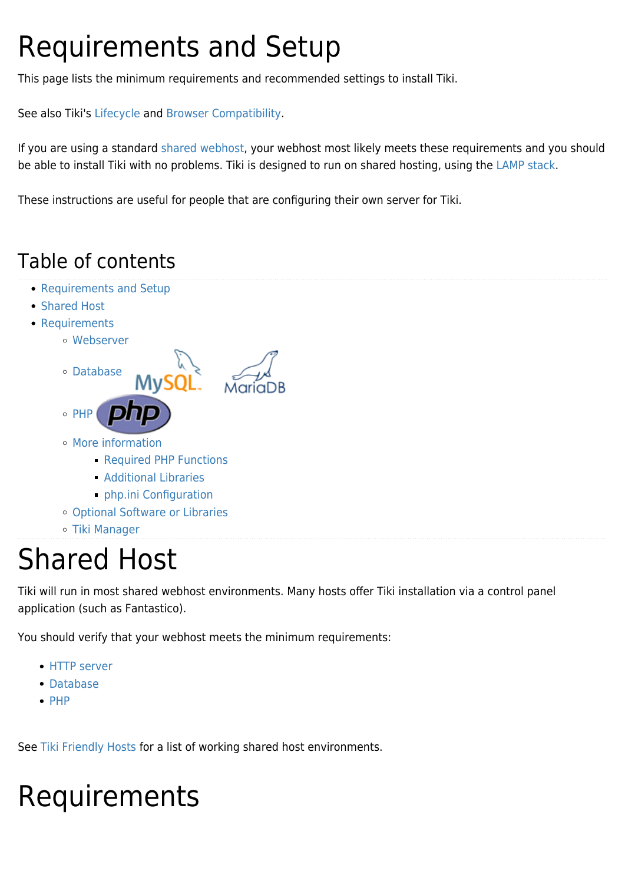# Requirements and Setup

This page lists the minimum requirements and recommended settings to install Tiki.

See also Tiki's [Lifecycle](http://info.tiki.org/Lifecycle) and [Browser Compatibility.](https://doc.tiki.org/Browser-Compatibility)

If you are using a standard [shared webhost,](http://en.wikipedia.org/wiki/Shared_web_hosting_service) your webhost most likely meets these requirements and you should be able to install Tiki with no problems. Tiki is designed to run on shared hosting, using the [LAMP stack](http://en.wikipedia.org/wiki/LAMP_(software_bundle)).

These instructions are useful for people that are configuring their own server for Tiki.

### Table of contents

- [Requirements and Setup](#page--1-0)
- [Shared Host](#page--1-0)
- [Requirements](#page--1-0)
	- [Webserver](#page--1-0)



- [More information](#page--1-0)
	- **[Required PHP Functions](#page--1-0)**
	- [Additional Libraries](#page--1-0)
	- [php.ini Configuration](#php.ini_Configuration)
- [Optional Software or Libraries](#page--1-0)
- [Tiki Manager](#page--1-0)

## Shared Host

Tiki will run in most shared webhost environments. Many hosts offer Tiki installation via a control panel application (such as Fantastico).

You should verify that your webhost meets the minimum requirements:

- [HTTP server](#page--1-0)
- [Database](#page--1-0)
- $\cdot$  [PHP](#page--1-0)

See [Tiki Friendly Hosts](http://tiki.org/Tiki%20Friendly%20Hosts) for a list of working shared host environments.

# Requirements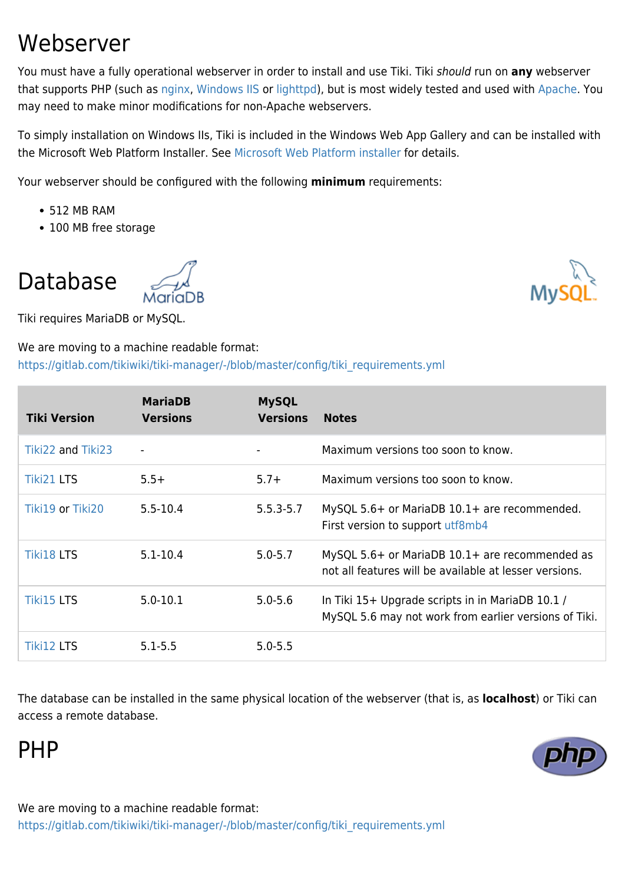### Webserver

You must have a fully operational webserver in order to install and use Tiki. Tiki should run on **any** webserver that supports PHP (such as [nginx](https://doc.tiki.org/Nginx), [Windows IIS](http://www.iis.net/) or [lighttpd\)](http://www.lighttpd.net/), but is most widely tested and used with [Apache.](http://httpd.apache.org/) You may need to make minor modifications for non-Apache webservers.

To simply installation on Windows IIs, Tiki is included in the Windows Web App Gallery and can be installed with the Microsoft Web Platform Installer. See [Microsoft Web Platform installer](https://doc.tiki.org/Microsoft-Web-Platform-Installer) for details.

Your webserver should be configured with the following **minimum** requirements:

- 512 MB RAM
- 100 MB free storage

Database

Tiki requires MariaDB or MySQL.

#### We are moving to a machine readable format: [https://gitlab.com/tikiwiki/tiki-manager/-/blob/master/config/tiki\\_requirements.yml](https://gitlab.com/tikiwiki/tiki-manager/-/blob/master/config/tiki_requirements.yml)

| <b>Tiki Version</b> | <b>MariaDB</b><br><b>Versions</b> | <b>MySQL</b><br><b>Versions</b> | <b>Notes</b>                                                                                              |
|---------------------|-----------------------------------|---------------------------------|-----------------------------------------------------------------------------------------------------------|
| Tiki22 and Tiki23   |                                   |                                 | Maximum versions too soon to know.                                                                        |
| <b>Tiki21 LTS</b>   | $5.5+$                            | $5.7 +$                         | Maximum versions too soon to know.                                                                        |
| Tiki19 or Tiki20    | $5.5 - 10.4$                      | $5.5.3 - 5.7$                   | MySQL 5.6+ or MariaDB 10.1+ are recommended.<br>First version to support utf8mb4                          |
| <b>Tiki18 LTS</b>   | $5.1 - 10.4$                      | $5.0 - 5.7$                     | MySQL 5.6+ or MariaDB 10.1+ are recommended as<br>not all features will be available at lesser versions.  |
| <b>Tiki15 LTS</b>   | $5.0 - 10.1$                      | $5.0 - 5.6$                     | In Tiki 15+ Upgrade scripts in in MariaDB 10.1 /<br>MySQL 5.6 may not work from earlier versions of Tiki. |
| Tiki12 LTS          | $5.1 - 5.5$                       | $5.0 - 5.5$                     |                                                                                                           |

The database can be installed in the same physical location of the webserver (that is, as **localhost**) or Tiki can access a remote database.

PHP

We are moving to a machine readable format: [https://gitlab.com/tikiwiki/tiki-manager/-/blob/master/config/tiki\\_requirements.yml](https://gitlab.com/tikiwiki/tiki-manager/-/blob/master/config/tiki_requirements.yml)



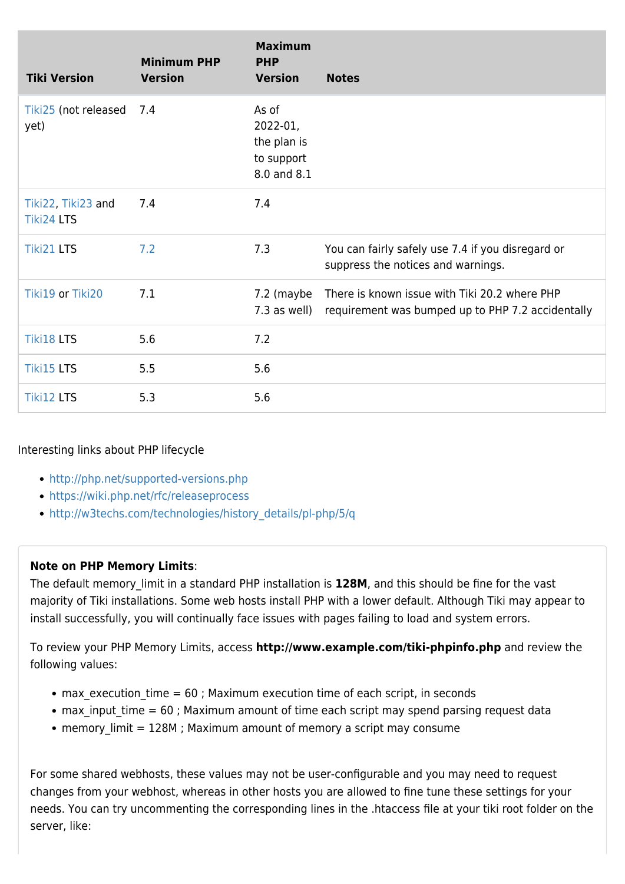| <b>Tiki Version</b>                     | <b>Minimum PHP</b><br><b>Version</b> | <b>Maximum</b><br><b>PHP</b><br><b>Version</b>                | <b>Notes</b>                                                                                       |
|-----------------------------------------|--------------------------------------|---------------------------------------------------------------|----------------------------------------------------------------------------------------------------|
| Tiki25 (not released 7.4<br>yet)        |                                      | As of<br>2022-01,<br>the plan is<br>to support<br>8.0 and 8.1 |                                                                                                    |
| Tiki22, Tiki23 and<br><b>Tiki24 LTS</b> | 7.4                                  | 7.4                                                           |                                                                                                    |
| <b>Tiki21 LTS</b>                       | 7.2                                  | 7.3                                                           | You can fairly safely use 7.4 if you disregard or<br>suppress the notices and warnings.            |
| Tiki19 or Tiki20                        | 7.1                                  | 7.2 (maybe<br>7.3 as well)                                    | There is known issue with Tiki 20.2 where PHP<br>requirement was bumped up to PHP 7.2 accidentally |
| <b>Tiki18 LTS</b>                       | 5.6                                  | 7.2                                                           |                                                                                                    |
| <b>Tiki15 LTS</b>                       | 5.5                                  | 5.6                                                           |                                                                                                    |
| <b>Tiki12 LTS</b>                       | 5.3                                  | 5.6                                                           |                                                                                                    |

#### Interesting links about PHP lifecycle

- <http://php.net/supported-versions.php>
- <https://wiki.php.net/rfc/releaseprocess>
- [http://w3techs.com/technologies/history\\_details/pl-php/5/q](http://w3techs.com/technologies/history_details/pl-php/5/q)

#### **Note on PHP Memory Limits**:

The default memory limit in a standard PHP installation is 128M, and this should be fine for the vast majority of Tiki installations. Some web hosts install PHP with a lower default. Although Tiki may appear to install successfully, you will continually face issues with pages failing to load and system errors.

To review your PHP Memory Limits, access **http://www.example.com/tiki-phpinfo.php** and review the following values:

- max execution time  $= 60$ ; Maximum execution time of each script, in seconds
- max input time  $= 60$ ; Maximum amount of time each script may spend parsing request data
- memory\_limit = 128M ; Maximum amount of memory a script may consume

For some shared webhosts, these values may not be user-configurable and you may need to request changes from your webhost, whereas in other hosts you are allowed to fine tune these settings for your needs. You can try uncommenting the corresponding lines in the .htaccess file at your tiki root folder on the server, like: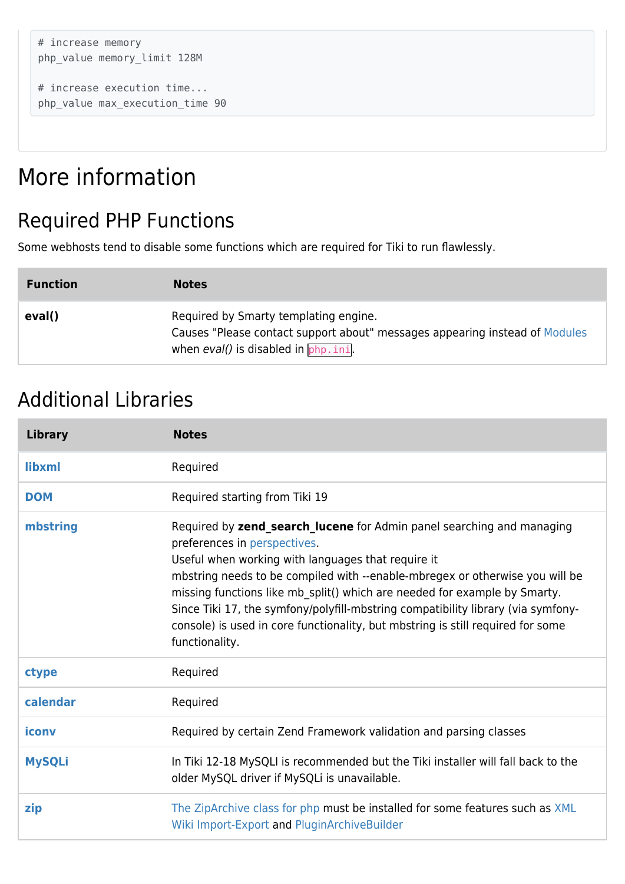```
# increase memory
php_value memory_limit 128M
```

```
# increase execution time...
php_value max_execution_time 90
```
### More information

### Required PHP Functions

Some webhosts tend to disable some functions which are required for Tiki to run flawlessly.

| <b>Function</b> | <b>Notes</b>                                                                                                                                                      |
|-----------------|-------------------------------------------------------------------------------------------------------------------------------------------------------------------|
| eval()          | Required by Smarty templating engine.<br>Causes "Please contact support about" messages appearing instead of Modules<br>when $eval()$ is disabled in $php$ . ini. |

### Additional Libraries

| <b>Library</b> | <b>Notes</b>                                                                                                                                                                                                                                                                                                                                                                                                                                                                                                      |
|----------------|-------------------------------------------------------------------------------------------------------------------------------------------------------------------------------------------------------------------------------------------------------------------------------------------------------------------------------------------------------------------------------------------------------------------------------------------------------------------------------------------------------------------|
| libxml         | Required                                                                                                                                                                                                                                                                                                                                                                                                                                                                                                          |
| <b>DOM</b>     | Required starting from Tiki 19                                                                                                                                                                                                                                                                                                                                                                                                                                                                                    |
| mbstring       | Required by zend_search_lucene for Admin panel searching and managing<br>preferences in perspectives.<br>Useful when working with languages that require it<br>mbstring needs to be compiled with --enable-mbregex or otherwise you will be<br>missing functions like mb split() which are needed for example by Smarty.<br>Since Tiki 17, the symfony/polyfill-mbstring compatibility library (via symfony-<br>console) is used in core functionality, but mbstring is still required for some<br>functionality. |
| ctype          | Required                                                                                                                                                                                                                                                                                                                                                                                                                                                                                                          |
| calendar       | Required                                                                                                                                                                                                                                                                                                                                                                                                                                                                                                          |
| iconv          | Required by certain Zend Framework validation and parsing classes                                                                                                                                                                                                                                                                                                                                                                                                                                                 |
| <b>MySQLi</b>  | In Tiki 12-18 MySQLI is recommended but the Tiki installer will fall back to the<br>older MySQL driver if MySQLi is unavailable.                                                                                                                                                                                                                                                                                                                                                                                  |
| zip            | The ZipArchive class for php must be installed for some features such as XML<br>Wiki Import-Export and PluginArchiveBuilder                                                                                                                                                                                                                                                                                                                                                                                       |